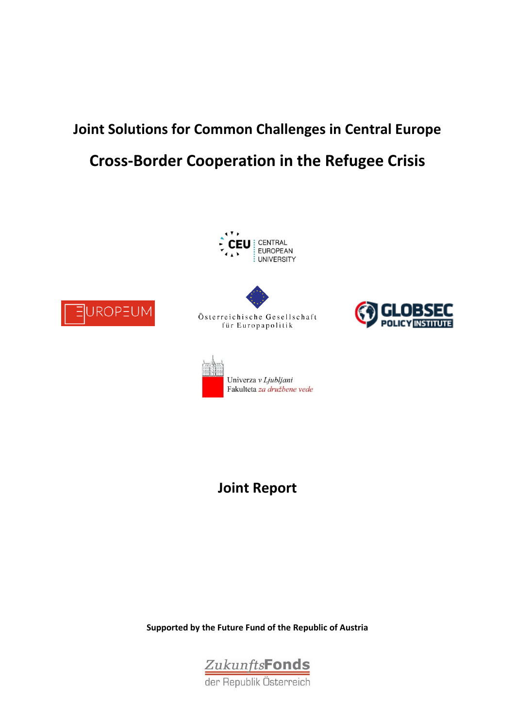# **Joint Solutions for Common Challenges in Central Europe**

## **Cross-Border Cooperation in the Refugee Crisis**





Österreichische Gesellschaft für Europapolitik





**Joint Report**

**Supported by the Future Fund of the Republic of Austria**

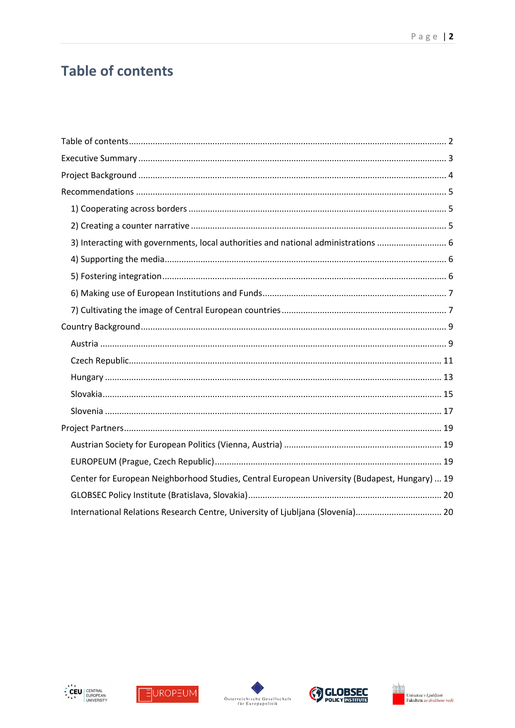## <span id="page-1-0"></span>**Table of contents**

| 3) Interacting with governments, local authorities and national administrations  6            |
|-----------------------------------------------------------------------------------------------|
|                                                                                               |
|                                                                                               |
|                                                                                               |
|                                                                                               |
|                                                                                               |
|                                                                                               |
|                                                                                               |
|                                                                                               |
|                                                                                               |
|                                                                                               |
|                                                                                               |
|                                                                                               |
|                                                                                               |
| Center for European Neighborhood Studies, Central European University (Budapest, Hungary)  19 |
|                                                                                               |
| International Relations Research Centre, University of Ljubljana (Slovenia) 20                |









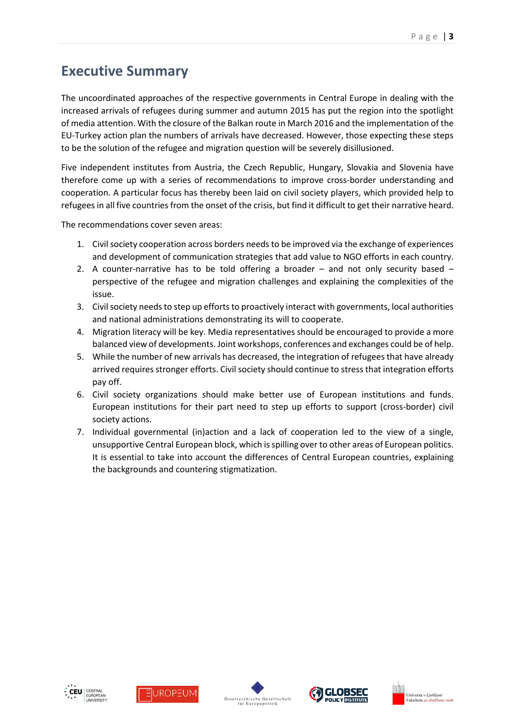## <span id="page-2-0"></span>**Executive Summary**

The uncoordinated approaches of the respective governments in Central Europe in dealing with the increased arrivals of refugees during summer and autumn 2015 has put the region into the spotlight of media attention. With the closure of the Balkan route in March 2016 and the implementation of the EU-Turkey action plan the numbers of arrivals have decreased. However, those expecting these steps to be the solution of the refugee and migration question will be severely disillusioned.

Five independent institutes from Austria, the Czech Republic, Hungary, Slovakia and Slovenia have therefore come up with a series of recommendations to improve cross-border understanding and cooperation. A particular focus has thereby been laid on civil society players, which provided help to refugees in all five countries from the onset of the crisis, but find it difficult to get their narrative heard.

The recommendations cover seven areas:

- 1. Civil society cooperation across borders needs to be improved via the exchange of experiences and development of communication strategies that add value to NGO efforts in each country.
- 2. A counter-narrative has to be told offering a broader  $-$  and not only security based  $$ perspective of the refugee and migration challenges and explaining the complexities of the issue.
- 3. Civil society needs to step up efforts to proactively interact with governments, local authorities and national administrations demonstrating its will to cooperate.
- 4. Migration literacy will be key. Media representatives should be encouraged to provide a more balanced view of developments. Joint workshops, conferences and exchanges could be of help.
- 5. While the number of new arrivals has decreased, the integration of refugees that have already arrived requires stronger efforts. Civil society should continue to stress that integration efforts pay off.
- 6. Civil society organizations should make better use of European institutions and funds. European institutions for their part need to step up efforts to support (cross-border) civil society actions.
- 7. Individual governmental (in)action and a lack of cooperation led to the view of a single, unsupportive Central European block, which is spilling over to other areas of European politics. It is essential to take into account the differences of Central European countries, explaining the backgrounds and countering stigmatization.









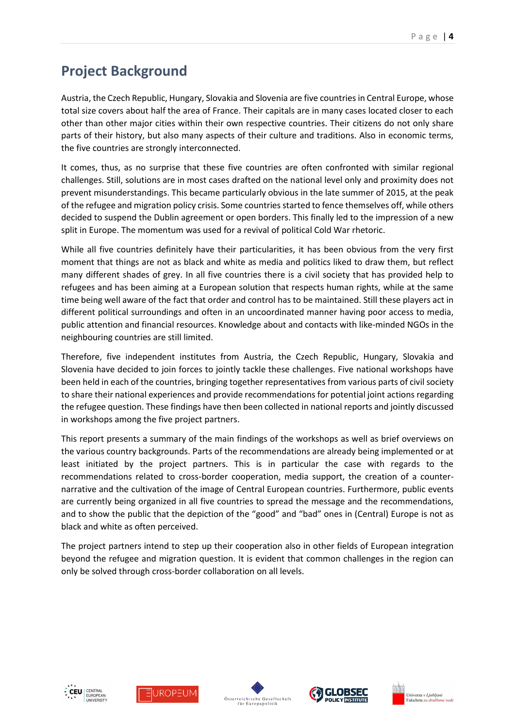## <span id="page-3-0"></span>**Project Background**

Austria, the Czech Republic, Hungary, Slovakia and Slovenia are five countries in Central Europe, whose total size covers about half the area of France. Their capitals are in many cases located closer to each other than other major cities within their own respective countries. Their citizens do not only share parts of their history, but also many aspects of their culture and traditions. Also in economic terms, the five countries are strongly interconnected.

It comes, thus, as no surprise that these five countries are often confronted with similar regional challenges. Still, solutions are in most cases drafted on the national level only and proximity does not prevent misunderstandings. This became particularly obvious in the late summer of 2015, at the peak of the refugee and migration policy crisis. Some countries started to fence themselves off, while others decided to suspend the Dublin agreement or open borders. This finally led to the impression of a new split in Europe. The momentum was used for a revival of political Cold War rhetoric.

While all five countries definitely have their particularities, it has been obvious from the very first moment that things are not as black and white as media and politics liked to draw them, but reflect many different shades of grey. In all five countries there is a civil society that has provided help to refugees and has been aiming at a European solution that respects human rights, while at the same time being well aware of the fact that order and control has to be maintained. Still these players act in different political surroundings and often in an uncoordinated manner having poor access to media, public attention and financial resources. Knowledge about and contacts with like-minded NGOs in the neighbouring countries are still limited.

Therefore, five independent institutes from Austria, the Czech Republic, Hungary, Slovakia and Slovenia have decided to join forces to jointly tackle these challenges. Five national workshops have been held in each of the countries, bringing together representatives from various parts of civil society to share their national experiences and provide recommendations for potential joint actions regarding the refugee question. These findings have then been collected in national reports and jointly discussed in workshops among the five project partners.

This report presents a summary of the main findings of the workshops as well as brief overviews on the various country backgrounds. Parts of the recommendations are already being implemented or at least initiated by the project partners. This is in particular the case with regards to the recommendations related to cross-border cooperation, media support, the creation of a counternarrative and the cultivation of the image of Central European countries. Furthermore, public events are currently being organized in all five countries to spread the message and the recommendations, and to show the public that the depiction of the "good" and "bad" ones in (Central) Europe is not as black and white as often perceived.

The project partners intend to step up their cooperation also in other fields of European integration beyond the refugee and migration question. It is evident that common challenges in the region can only be solved through cross-border collaboration on all levels.









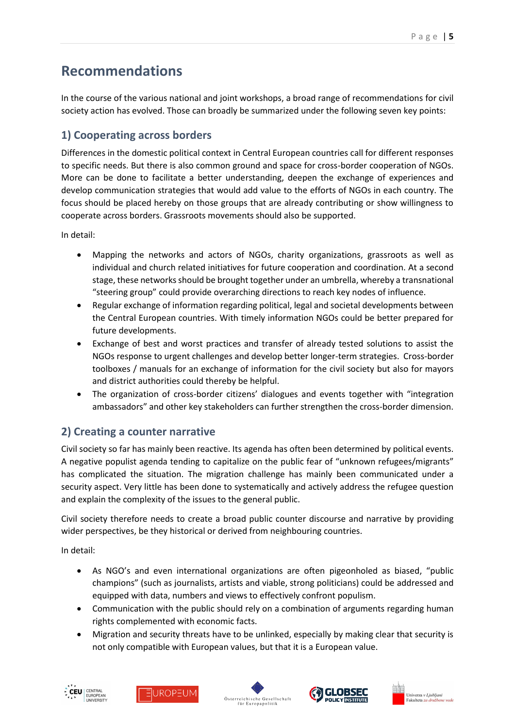## <span id="page-4-0"></span>**Recommendations**

In the course of the various national and joint workshops, a broad range of recommendations for civil society action has evolved. Those can broadly be summarized under the following seven key points:

## <span id="page-4-1"></span>**1) Cooperating across borders**

Differences in the domestic political context in Central European countries call for different responses to specific needs. But there is also common ground and space for cross-border cooperation of NGOs. More can be done to facilitate a better understanding, deepen the exchange of experiences and develop communication strategies that would add value to the efforts of NGOs in each country. The focus should be placed hereby on those groups that are already contributing or show willingness to cooperate across borders. Grassroots movements should also be supported.

In detail:

- Mapping the networks and actors of NGOs, charity organizations, grassroots as well as individual and church related initiatives for future cooperation and coordination. At a second stage, these networks should be brought together under an umbrella, whereby a transnational "steering group" could provide overarching directions to reach key nodes of influence.
- Regular exchange of information regarding political, legal and societal developments between the Central European countries. With timely information NGOs could be better prepared for future developments.
- Exchange of best and worst practices and transfer of already tested solutions to assist the NGOs response to urgent challenges and develop better longer-term strategies. Cross-border toolboxes / manuals for an exchange of information for the civil society but also for mayors and district authorities could thereby be helpful.
- The organization of cross-border citizens' dialogues and events together with "integration ambassadors" and other key stakeholders can further strengthen the cross-border dimension.

## <span id="page-4-2"></span>**2) Creating a counter narrative**

Civil society so far has mainly been reactive. Its agenda has often been determined by political events. A negative populist agenda tending to capitalize on the public fear of "unknown refugees/migrants" has complicated the situation. The migration challenge has mainly been communicated under a security aspect. Very little has been done to systematically and actively address the refugee question and explain the complexity of the issues to the general public.

Civil society therefore needs to create a broad public counter discourse and narrative by providing wider perspectives, be they historical or derived from neighbouring countries.

In detail:

- As NGO's and even international organizations are often pigeonholed as biased, "public champions" (such as journalists, artists and viable, strong politicians) could be addressed and equipped with data, numbers and views to effectively confront populism.
- Communication with the public should rely on a combination of arguments regarding human rights complemented with economic facts.
- Migration and security threats have to be unlinked, especially by making clear that security is not only compatible with European values, but that it is a European value.









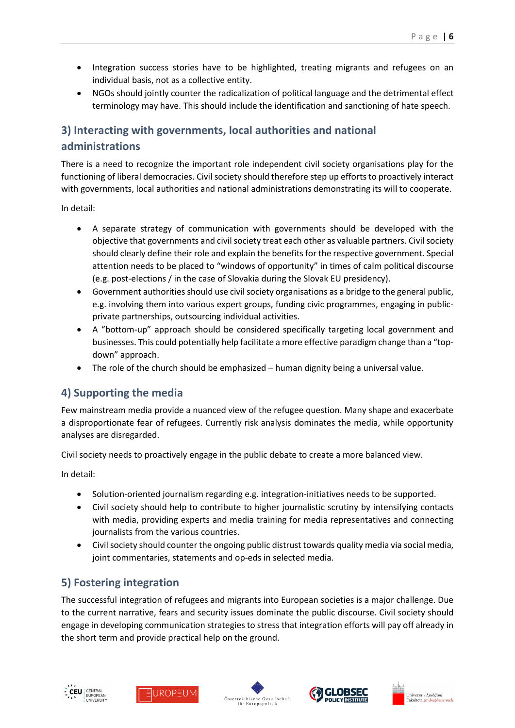- Integration success stories have to be highlighted, treating migrants and refugees on an individual basis, not as a collective entity.
- NGOs should jointly counter the radicalization of political language and the detrimental effect terminology may have. This should include the identification and sanctioning of hate speech.

## <span id="page-5-0"></span>**3) Interacting with governments, local authorities and national administrations**

There is a need to recognize the important role independent civil society organisations play for the functioning of liberal democracies. Civil society should therefore step up efforts to proactively interact with governments, local authorities and national administrations demonstrating its will to cooperate.

In detail:

- A separate strategy of communication with governments should be developed with the objective that governments and civil society treat each other as valuable partners. Civil society should clearly define their role and explain the benefits for the respective government. Special attention needs to be placed to "windows of opportunity" in times of calm political discourse (e.g. post-elections / in the case of Slovakia during the Slovak EU presidency).
- Government authorities should use civil society organisations as a bridge to the general public, e.g. involving them into various expert groups, funding civic programmes, engaging in publicprivate partnerships, outsourcing individual activities.
- A "bottom-up" approach should be considered specifically targeting local government and businesses. This could potentially help facilitate a more effective paradigm change than a "topdown" approach.
- The role of the church should be emphasized human dignity being a universal value.

### <span id="page-5-1"></span>**4) Supporting the media**

Few mainstream media provide a nuanced view of the refugee question. Many shape and exacerbate a disproportionate fear of refugees. Currently risk analysis dominates the media, while opportunity analyses are disregarded.

Civil society needs to proactively engage in the public debate to create a more balanced view.

In detail:

- Solution-oriented journalism regarding e.g. integration-initiatives needs to be supported.
- Civil society should help to contribute to higher journalistic scrutiny by intensifying contacts with media, providing experts and media training for media representatives and connecting journalists from the various countries.
- Civil society should counter the ongoing public distrust towards quality media via social media, joint commentaries, statements and op-eds in selected media.

## <span id="page-5-2"></span>**5) Fostering integration**

The successful integration of refugees and migrants into European societies is a major challenge. Due to the current narrative, fears and security issues dominate the public discourse. Civil society should engage in developing communication strategies to stress that integration efforts will pay off already in the short term and provide practical help on the ground.









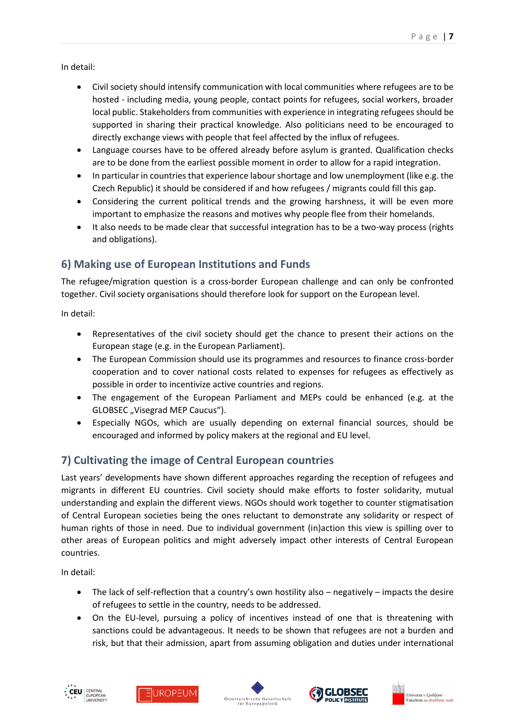In detail:

- Civil society should intensify communication with local communities where refugees are to be hosted - including media, young people, contact points for refugees, social workers, broader local public. Stakeholders from communities with experience in integrating refugees should be supported in sharing their practical knowledge. Also politicians need to be encouraged to directly exchange views with people that feel affected by the influx of refugees.
- Language courses have to be offered already before asylum is granted. Qualification checks are to be done from the earliest possible moment in order to allow for a rapid integration.
- In particular in countries that experience labour shortage and low unemployment (like e.g. the Czech Republic) it should be considered if and how refugees / migrants could fill this gap.
- Considering the current political trends and the growing harshness, it will be even more important to emphasize the reasons and motives why people flee from their homelands.
- It also needs to be made clear that successful integration has to be a two-way process (rights and obligations).

## <span id="page-6-0"></span>**6) Making use of European Institutions and Funds**

The refugee/migration question is a cross-border European challenge and can only be confronted together. Civil society organisations should therefore look for support on the European level.

In detail:

- Representatives of the civil society should get the chance to present their actions on the European stage (e.g. in the European Parliament).
- The European Commission should use its programmes and resources to finance cross-border cooperation and to cover national costs related to expenses for refugees as effectively as possible in order to incentivize active countries and regions.
- The engagement of the European Parliament and MEPs could be enhanced (e.g. at the GLOBSEC "Visegrad MEP Caucus").
- Especially NGOs, which are usually depending on external financial sources, should be encouraged and informed by policy makers at the regional and EU level.

## <span id="page-6-1"></span>**7) Cultivating the image of Central European countries**

Last years' developments have shown different approaches regarding the reception of refugees and migrants in different EU countries. Civil society should make efforts to foster solidarity, mutual understanding and explain the different views. NGOs should work together to counter stigmatisation of Central European societies being the ones reluctant to demonstrate any solidarity or respect of human rights of those in need. Due to individual government (in)action this view is spilling over to other areas of European politics and might adversely impact other interests of Central European countries.

In detail:

- The lack of self-reflection that a country's own hostility also negatively impacts the desire of refugees to settle in the country, needs to be addressed.
- On the EU-level, pursuing a policy of incentives instead of one that is threatening with sanctions could be advantageous. It needs to be shown that refugees are not a burden and risk, but that their admission, apart from assuming obligation and duties under international









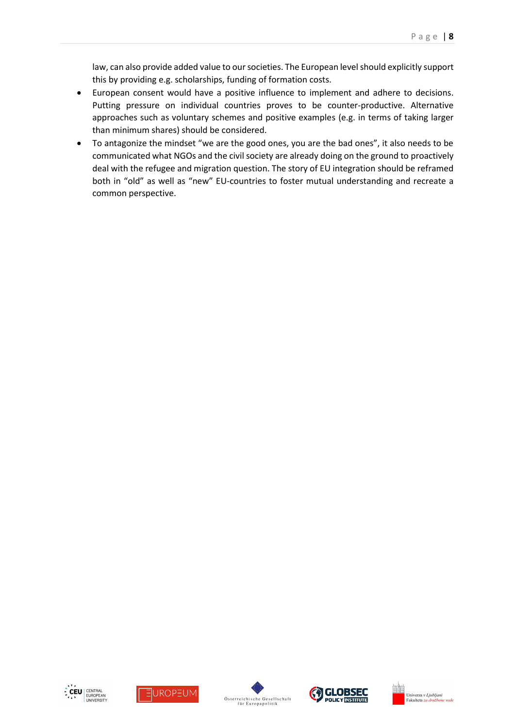law, can also provide added value to our societies. The European level should explicitly support this by providing e.g. scholarships, funding of formation costs.

- European consent would have a positive influence to implement and adhere to decisions. Putting pressure on individual countries proves to be counter-productive. Alternative approaches such as voluntary schemes and positive examples (e.g. in terms of taking larger than minimum shares) should be considered.
- To antagonize the mindset "we are the good ones, you are the bad ones", it also needs to be communicated what NGOs and the civil society are already doing on the ground to proactively deal with the refugee and migration question. The story of EU integration should be reframed both in "old" as well as "new" EU-countries to foster mutual understanding and recreate a common perspective.









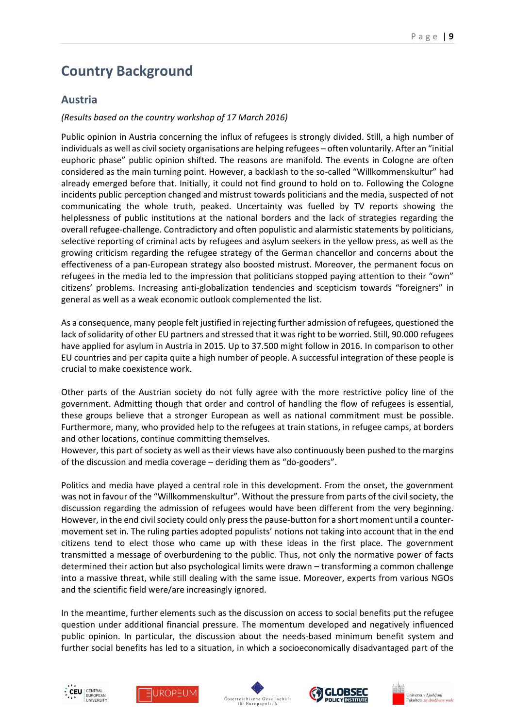## <span id="page-8-0"></span>**Country Background**

## <span id="page-8-1"></span>**Austria**

#### *(Results based on the country workshop of 17 March 2016)*

Public opinion in Austria concerning the influx of refugees is strongly divided. Still, a high number of individuals as well as civil society organisations are helping refugees – often voluntarily. After an "initial euphoric phase" public opinion shifted. The reasons are manifold. The events in Cologne are often considered as the main turning point. However, a backlash to the so-called "Willkommenskultur" had already emerged before that. Initially, it could not find ground to hold on to. Following the Cologne incidents public perception changed and mistrust towards politicians and the media, suspected of not communicating the whole truth, peaked. Uncertainty was fuelled by TV reports showing the helplessness of public institutions at the national borders and the lack of strategies regarding the overall refugee-challenge. Contradictory and often populistic and alarmistic statements by politicians, selective reporting of criminal acts by refugees and asylum seekers in the yellow press, as well as the growing criticism regarding the refugee strategy of the German chancellor and concerns about the effectiveness of a pan-European strategy also boosted mistrust. Moreover, the permanent focus on refugees in the media led to the impression that politicians stopped paying attention to their "own" citizens' problems. Increasing anti-globalization tendencies and scepticism towards "foreigners" in general as well as a weak economic outlook complemented the list.

As a consequence, many people felt justified in rejecting further admission of refugees, questioned the lack of solidarity of other EU partners and stressed that it was right to be worried. Still, 90.000 refugees have applied for asylum in Austria in 2015. Up to 37.500 might follow in 2016. In comparison to other EU countries and per capita quite a high number of people. A successful integration of these people is crucial to make coexistence work.

Other parts of the Austrian society do not fully agree with the more restrictive policy line of the government. Admitting though that order and control of handling the flow of refugees is essential, these groups believe that a stronger European as well as national commitment must be possible. Furthermore, many, who provided help to the refugees at train stations, in refugee camps, at borders and other locations, continue committing themselves.

However, this part of society as well as their views have also continuously been pushed to the margins of the discussion and media coverage – deriding them as "do-gooders".

Politics and media have played a central role in this development. From the onset, the government was not in favour of the "Willkommenskultur". Without the pressure from parts of the civil society, the discussion regarding the admission of refugees would have been different from the very beginning. However, in the end civil society could only press the pause-button for a short moment until a countermovement set in. The ruling parties adopted populists' notions not taking into account that in the end citizens tend to elect those who came up with these ideas in the first place. The government transmitted a message of overburdening to the public. Thus, not only the normative power of facts determined their action but also psychological limits were drawn – transforming a common challenge into a massive threat, while still dealing with the same issue. Moreover, experts from various NGOs and the scientific field were/are increasingly ignored.

In the meantime, further elements such as the discussion on access to social benefits put the refugee question under additional financial pressure. The momentum developed and negatively influenced public opinion. In particular, the discussion about the needs-based minimum benefit system and further social benefits has led to a situation, in which a socioeconomically disadvantaged part of the









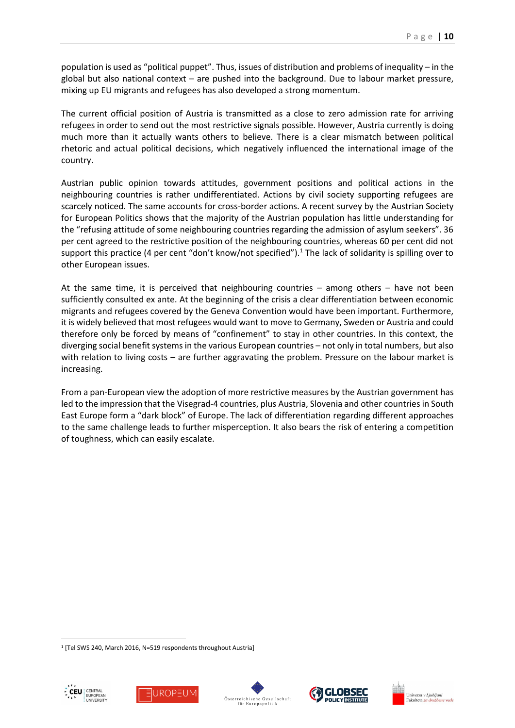population is used as "political puppet". Thus, issues of distribution and problems of inequality – in the global but also national context – are pushed into the background. Due to labour market pressure, mixing up EU migrants and refugees has also developed a strong momentum.

The current official position of Austria is transmitted as a close to zero admission rate for arriving refugees in order to send out the most restrictive signals possible. However, Austria currently is doing much more than it actually wants others to believe. There is a clear mismatch between political rhetoric and actual political decisions, which negatively influenced the international image of the country.

Austrian public opinion towards attitudes, government positions and political actions in the neighbouring countries is rather undifferentiated. Actions by civil society supporting refugees are scarcely noticed. The same accounts for cross-border actions. A recent survey by the Austrian Society for European Politics shows that the majority of the Austrian population has little understanding for the "refusing attitude of some neighbouring countries regarding the admission of asylum seekers". 36 per cent agreed to the restrictive position of the neighbouring countries, whereas 60 per cent did not support this practice (4 per cent "don't know/not specified").<sup>1</sup> The lack of solidarity is spilling over to other European issues.

At the same time, it is perceived that neighbouring countries – among others – have not been sufficiently consulted ex ante. At the beginning of the crisis a clear differentiation between economic migrants and refugees covered by the Geneva Convention would have been important. Furthermore, it is widely believed that most refugees would want to move to Germany, Sweden or Austria and could therefore only be forced by means of "confinement" to stay in other countries. In this context, the diverging social benefit systems in the various European countries – not only in total numbers, but also with relation to living costs – are further aggravating the problem. Pressure on the labour market is increasing.

From a pan-European view the adoption of more restrictive measures by the Austrian government has led to the impression that the Visegrad-4 countries, plus Austria, Slovenia and other countries in South East Europe form a "dark block" of Europe. The lack of differentiation regarding different approaches to the same challenge leads to further misperception. It also bears the risk of entering a competition of toughness, which can easily escalate.

<sup>1</sup> [Tel SWS 240, March 2016, N=519 respondents throughout Austria]



**.** 







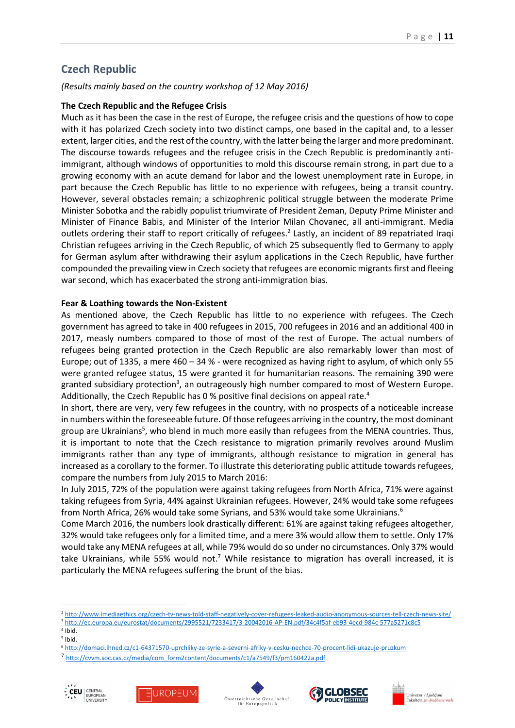### <span id="page-10-0"></span>**Czech Republic**

#### *(Results mainly based on the country workshop of 12 May 2016)*

#### **The Czech Republic and the Refugee Crisis**

Much as it has been the case in the rest of Europe, the refugee crisis and the questions of how to cope with it has polarized Czech society into two distinct camps, one based in the capital and, to a lesser extent, larger cities, and the rest of the country, with the latter being the larger and more predominant. The discourse towards refugees and the refugee crisis in the Czech Republic is predominantly antiimmigrant, although windows of opportunities to mold this discourse remain strong, in part due to a growing economy with an acute demand for labor and the lowest unemployment rate in Europe, in part because the Czech Republic has little to no experience with refugees, being a transit country. However, several obstacles remain; a schizophrenic political struggle between the moderate Prime Minister Sobotka and the rabidly populist triumvirate of President Zeman, Deputy Prime Minister and Minister of Finance Babis, and Minister of the Interior Milan Chovanec, all anti-immigrant. Media outlets ordering their staff to report critically of refugees.<sup>2</sup> Lastly, an incident of 89 repatriated Iraqi Christian refugees arriving in the Czech Republic, of which 25 subsequently fled to Germany to apply for German asylum after withdrawing their asylum applications in the Czech Republic, have further compounded the prevailing view in Czech society that refugees are economic migrants first and fleeing war second, which has exacerbated the strong anti-immigration bias.

#### **Fear & Loathing towards the Non-Existent**

As mentioned above, the Czech Republic has little to no experience with refugees. The Czech government has agreed to take in 400 refugees in 2015, 700 refugees in 2016 and an additional 400 in 2017, measly numbers compared to those of most of the rest of Europe. The actual numbers of refugees being granted protection in the Czech Republic are also remarkably lower than most of Europe; out of 1335, a mere 460 – 34 % - were recognized as having right to asylum, of which only 55 were granted refugee status, 15 were granted it for humanitarian reasons. The remaining 390 were granted subsidiary protection<sup>3</sup>, an outrageously high number compared to most of Western Europe. Additionally, the Czech Republic has 0 % positive final decisions on appeal rate.<sup>4</sup>

In short, there are very, very few refugees in the country, with no prospects of a noticeable increase in numbers within the foreseeable future. Of those refugees arriving in the country, the most dominant group are Ukrainians<sup>5</sup>, who blend in much more easily than refugees from the MENA countries. Thus, it is important to note that the Czech resistance to migration primarily revolves around Muslim immigrants rather than any type of immigrants, although resistance to migration in general has increased as a corollary to the former. To illustrate this deteriorating public attitude towards refugees, compare the numbers from July 2015 to March 2016:

In July 2015, 72% of the population were against taking refugees from North Africa, 71% were against taking refugees from Syria, 44% against Ukrainian refugees. However, 24% would take some refugees from North Africa, 26% would take some Syrians, and 53% would take some Ukrainians.<sup>6</sup>

Come March 2016, the numbers look drastically different: 61% are against taking refugees altogether, 32% would take refugees only for a limited time, and a mere 3% would allow them to settle. Only 17% would take any MENA refugees at all, while 79% would do so under no circumstances. Only 37% would take Ukrainians, while 55% would not.<sup>7</sup> While resistance to migration has overall increased, it is particularly the MENA refugees suffering the brunt of the bias.

**.** 

<sup>7</sup> [http://cvvm.soc.cas.cz/media/com\\_form2content/documents/c1/a7549/f3/pm160422a.pdf](http://cvvm.soc.cas.cz/media/com_form2content/documents/c1/a7549/f3/pm160422a.pdf)











<sup>2</sup> <http://www.imediaethics.org/czech-tv-news-told-staff-negatively-cover-refugees-leaked-audio-anonymous-sources-tell-czech-news-site/>

<sup>3</sup> <http://ec.europa.eu/eurostat/documents/2995521/7233417/3-20042016-AP-EN.pdf/34c4f5af-eb93-4ecd-984c-577a5271c8c5> 4 Ibid.

<sup>5</sup> Ibid.

<sup>6</sup> <http://domaci.ihned.cz/c1-64371570-uprchliky-ze-syrie-a-severni-afriky-v-cesku-nechce-70-procent-lidi-ukazuje-pruzkum>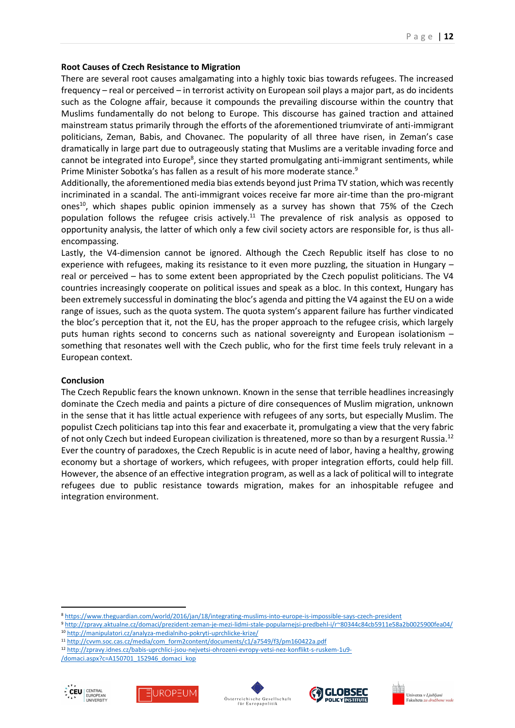#### **Root Causes of Czech Resistance to Migration**

There are several root causes amalgamating into a highly toxic bias towards refugees. The increased frequency – real or perceived – in terrorist activity on European soil plays a major part, as do incidents such as the Cologne affair, because it compounds the prevailing discourse within the country that Muslims fundamentally do not belong to Europe. This discourse has gained traction and attained mainstream status primarily through the efforts of the aforementioned triumvirate of anti-immigrant politicians, Zeman, Babis, and Chovanec. The popularity of all three have risen, in Zeman's case dramatically in large part due to outrageously stating that Muslims are a veritable invading force and cannot be integrated into Europe<sup>8</sup>, since they started promulgating anti-immigrant sentiments, while Prime Minister Sobotka's has fallen as a result of his more moderate stance.<sup>9</sup>

Additionally, the aforementioned media bias extends beyond just Prima TV station, which was recently incriminated in a scandal. The anti-immigrant voices receive far more air-time than the pro-migrant ones<sup>10</sup>, which shapes public opinion immensely as a survey has shown that 75% of the Czech population follows the refugee crisis actively.<sup>11</sup> The prevalence of risk analysis as opposed to opportunity analysis, the latter of which only a few civil society actors are responsible for, is thus allencompassing.

Lastly, the V4-dimension cannot be ignored. Although the Czech Republic itself has close to no experience with refugees, making its resistance to it even more puzzling, the situation in Hungary real or perceived – has to some extent been appropriated by the Czech populist politicians. The V4 countries increasingly cooperate on political issues and speak as a bloc. In this context, Hungary has been extremely successful in dominating the bloc's agenda and pitting the V4 against the EU on a wide range of issues, such as the quota system. The quota system's apparent failure has further vindicated the bloc's perception that it, not the EU, has the proper approach to the refugee crisis, which largely puts human rights second to concerns such as national sovereignty and European isolationism – something that resonates well with the Czech public, who for the first time feels truly relevant in a European context.

#### **Conclusion**

The Czech Republic fears the known unknown. Known in the sense that terrible headlines increasingly dominate the Czech media and paints a picture of dire consequences of Muslim migration, unknown in the sense that it has little actual experience with refugees of any sorts, but especially Muslim. The populist Czech politicians tap into this fear and exacerbate it, promulgating a view that the very fabric of not only Czech but indeed European civilization is threatened, more so than by a resurgent Russia.<sup>12</sup> Ever the country of paradoxes, the Czech Republic is in acute need of labor, having a healthy, growing economy but a shortage of workers, which refugees, with proper integration efforts, could help fill. However, the absence of an effective integration program, as well as a lack of political will to integrate refugees due to public resistance towards migration, makes for an inhospitable refugee and integration environment.

<sup>12</sup> [http://zpravy.idnes.cz/babis-uprchlici-jsou-nejvetsi-ohrozeni-evropy-vetsi-nez-konflikt-s-ruskem-1u9-](http://zpravy.idnes.cz/babis-uprchlici-jsou-nejvetsi-ohrozeni-evropy-vetsi-nez-konflikt-s-ruskem-1u9-/domaci.aspx?c=A150701_152946_domaci_kop) [/domaci.aspx?c=A150701\\_152946\\_domaci\\_kop](http://zpravy.idnes.cz/babis-uprchlici-jsou-nejvetsi-ohrozeni-evropy-vetsi-nez-konflikt-s-ruskem-1u9-/domaci.aspx?c=A150701_152946_domaci_kop)



1









<sup>8</sup> <https://www.theguardian.com/world/2016/jan/18/integrating-muslims-into-europe-is-impossible-says-czech-president>

<sup>9</sup> <http://zpravy.aktualne.cz/domaci/prezident-zeman-je-mezi-lidmi-stale-popularnejsi-predbehl-i/r~80344c84cb5911e58a2b0025900fea04/> <sup>10</sup> <http://manipulatori.cz/analyza-medialniho-pokryti-uprchlicke-krize/>

<sup>11</sup> [http://cvvm.soc.cas.cz/media/com\\_form2content/documents/c1/a7549/f3/pm160422a.pdf](http://cvvm.soc.cas.cz/media/com_form2content/documents/c1/a7549/f3/pm160422a.pdf)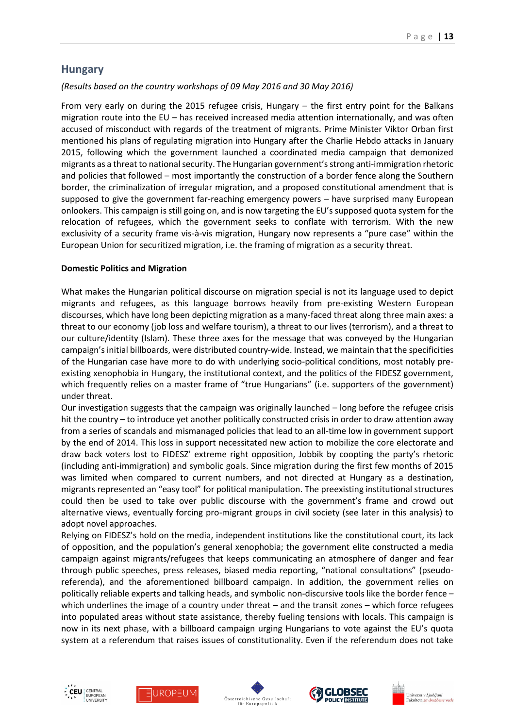#### <span id="page-12-0"></span>**Hungary**

#### *(Results based on the country workshops of 09 May 2016 and 30 May 2016)*

From very early on during the 2015 refugee crisis, Hungary – the first entry point for the Balkans migration route into the EU – has received increased media attention internationally, and was often accused of misconduct with regards of the treatment of migrants. Prime Minister Viktor Orban first mentioned his plans of regulating migration into Hungary after the Charlie Hebdo attacks in January 2015, following which the government launched a coordinated media campaign that demonized migrants as a threat to national security. The Hungarian government's strong anti-immigration rhetoric and policies that followed – most importantly the construction of a border fence along the Southern border, the criminalization of irregular migration, and a proposed constitutional amendment that is supposed to give the government far-reaching emergency powers – have surprised many European onlookers. This campaign is still going on, and is now targeting the EU's supposed quota system for the relocation of refugees, which the government seeks to conflate with terrorism. With the new exclusivity of a security frame vis-à-vis migration, Hungary now represents a "pure case" within the European Union for securitized migration, i.e. the framing of migration as a security threat.

#### **Domestic Politics and Migration**

What makes the Hungarian political discourse on migration special is not its language used to depict migrants and refugees, as this language borrows heavily from pre-existing Western European discourses, which have long been depicting migration as a many-faced threat along three main axes: a threat to our economy (job loss and welfare tourism), a threat to our lives (terrorism), and a threat to our culture/identity (Islam). These three axes for the message that was conveyed by the Hungarian campaign's initial billboards, were distributed country-wide. Instead, we maintain that the specificities of the Hungarian case have more to do with underlying socio-political conditions, most notably preexisting xenophobia in Hungary, the institutional context, and the politics of the FIDESZ government, which frequently relies on a master frame of "true Hungarians" (i.e. supporters of the government) under threat.

Our investigation suggests that the campaign was originally launched – long before the refugee crisis hit the country – to introduce yet another politically constructed crisis in order to draw attention away from a series of scandals and mismanaged policies that lead to an all-time low in government support by the end of 2014. This loss in support necessitated new action to mobilize the core electorate and draw back voters lost to FIDESZ' extreme right opposition, Jobbik by coopting the party's rhetoric (including anti-immigration) and symbolic goals. Since migration during the first few months of 2015 was limited when compared to current numbers, and not directed at Hungary as a destination, migrants represented an "easy tool" for political manipulation. The preexisting institutional structures could then be used to take over public discourse with the government's frame and crowd out alternative views, eventually forcing pro-migrant groups in civil society (see later in this analysis) to adopt novel approaches.

Relying on FIDESZ's hold on the media, independent institutions like the constitutional court, its lack of opposition, and the population's general xenophobia; the government elite constructed a media campaign against migrants/refugees that keeps communicating an atmosphere of danger and fear through public speeches, press releases, biased media reporting, "national consultations" (pseudoreferenda), and the aforementioned billboard campaign. In addition, the government relies on politically reliable experts and talking heads, and symbolic non-discursive tools like the border fence – which underlines the image of a country under threat – and the transit zones – which force refugees into populated areas without state assistance, thereby fueling tensions with locals. This campaign is now in its next phase, with a billboard campaign urging Hungarians to vote against the EU's quota system at a referendum that raises issues of constitutionality. Even if the referendum does not take









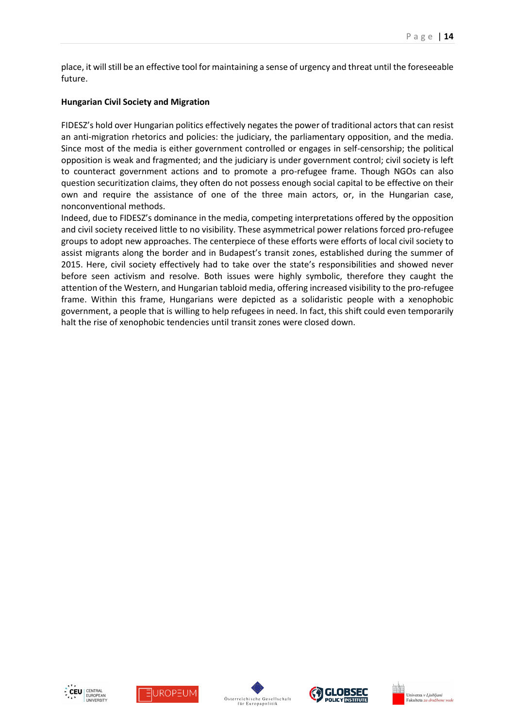place, it will still be an effective tool for maintaining a sense of urgency and threat until the foreseeable future.

#### **Hungarian Civil Society and Migration**

FIDESZ's hold over Hungarian politics effectively negates the power of traditional actors that can resist an anti-migration rhetorics and policies: the judiciary, the parliamentary opposition, and the media. Since most of the media is either government controlled or engages in self-censorship; the political opposition is weak and fragmented; and the judiciary is under government control; civil society is left to counteract government actions and to promote a pro-refugee frame. Though NGOs can also question securitization claims, they often do not possess enough social capital to be effective on their own and require the assistance of one of the three main actors, or, in the Hungarian case, nonconventional methods.

Indeed, due to FIDESZ's dominance in the media, competing interpretations offered by the opposition and civil society received little to no visibility. These asymmetrical power relations forced pro-refugee groups to adopt new approaches. The centerpiece of these efforts were efforts of local civil society to assist migrants along the border and in Budapest's transit zones, established during the summer of 2015. Here, civil society effectively had to take over the state's responsibilities and showed never before seen activism and resolve. Both issues were highly symbolic, therefore they caught the attention of the Western, and Hungarian tabloid media, offering increased visibility to the pro-refugee frame. Within this frame, Hungarians were depicted as a solidaristic people with a xenophobic government, a people that is willing to help refugees in need. In fact, this shift could even temporarily halt the rise of xenophobic tendencies until transit zones were closed down.









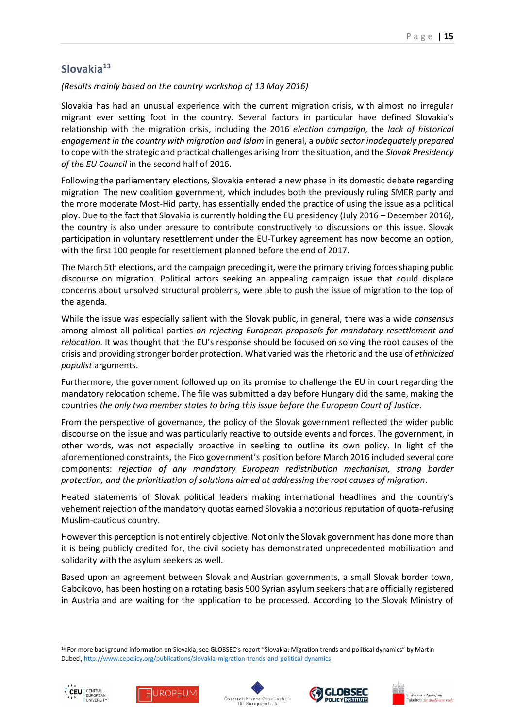### <span id="page-14-0"></span>**Slovakia<sup>13</sup>**

#### *(Results mainly based on the country workshop of 13 May 2016)*

Slovakia has had an unusual experience with the current migration crisis, with almost no irregular migrant ever setting foot in the country. Several factors in particular have defined Slovakia's relationship with the migration crisis, including the 2016 *election campaign*, the *lack of historical engagement in the country with migration and Islam* in general, a *public sector inadequately prepared* to cope with the strategic and practical challenges arising from the situation, and the *Slovak Presidency of the EU Council* in the second half of 2016.

Following the parliamentary elections, Slovakia entered a new phase in its domestic debate regarding migration. The new coalition government, which includes both the previously ruling SMER party and the more moderate Most-Hid party, has essentially ended the practice of using the issue as a political ploy. Due to the fact that Slovakia is currently holding the EU presidency (July 2016 – December 2016), the country is also under pressure to contribute constructively to discussions on this issue. Slovak participation in voluntary resettlement under the EU-Turkey agreement has now become an option, with the first 100 people for resettlement planned before the end of 2017.

The March 5th elections, and the campaign preceding it, were the primary driving forces shaping public discourse on migration. Political actors seeking an appealing campaign issue that could displace concerns about unsolved structural problems, were able to push the issue of migration to the top of the agenda.

While the issue was especially salient with the Slovak public, in general, there was a wide *consensus* among almost all political parties *on rejecting European proposals for mandatory resettlement and relocation*. It was thought that the EU's response should be focused on solving the root causes of the crisis and providing stronger border protection. What varied was the rhetoric and the use of *ethnicized populist* arguments.

Furthermore, the government followed up on its promise to challenge the EU in court regarding the mandatory relocation scheme. The file was submitted a day before Hungary did the same, making the countries *the only two member states to bring this issue before the European Court of Justice*.

From the perspective of governance, the policy of the Slovak government reflected the wider public discourse on the issue and was particularly reactive to outside events and forces. The government, in other words, was not especially proactive in seeking to outline its own policy. In light of the aforementioned constraints, the Fico government's position before March 2016 included several core components: *rejection of any mandatory European redistribution mechanism, strong border protection, and the prioritization of solutions aimed at addressing the root causes of migration*.

Heated statements of Slovak political leaders making international headlines and the country's vehement rejection of the mandatory quotas earned Slovakia a notorious reputation of quota-refusing Muslim-cautious country.

However this perception is not entirely objective. Not only the Slovak government has done more than it is being publicly credited for, the civil society has demonstrated unprecedented mobilization and solidarity with the asylum seekers as well.

Based upon an agreement between Slovak and Austrian governments, a small Slovak border town, Gabcikovo, has been hosting on a rotating basis 500 Syrian asylum seekers that are officially registered in Austria and are waiting for the application to be processed. According to the Slovak Ministry of

<sup>&</sup>lt;sup>13</sup> For more background information on Slovakia, see GLOBSEC's report "Slovakia: Migration trends and political dynamics" by Martin Dubeci[, http://www.cepolicy.org/publications/slovakia-migration-trends-and-political-dynamics](http://www.cepolicy.org/publications/slovakia-migration-trends-and-political-dynamics)



1







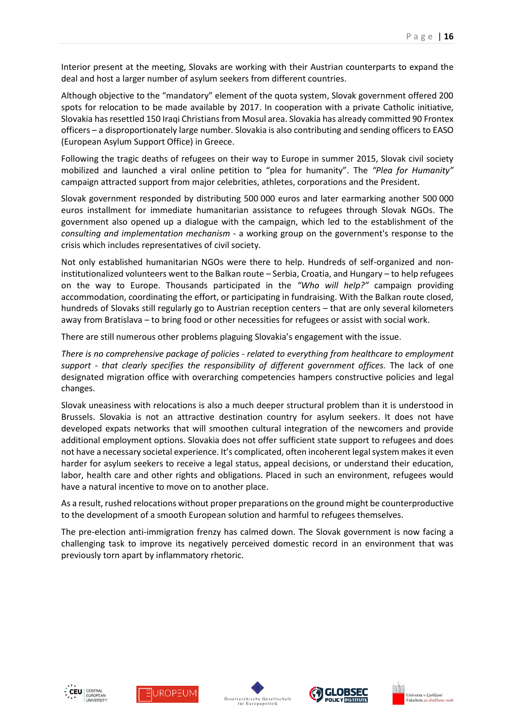Interior present at the meeting, Slovaks are working with their Austrian counterparts to expand the deal and host a larger number of asylum seekers from different countries.

Although objective to the "mandatory" element of the quota system, Slovak government offered 200 spots for relocation to be made available by 2017. In cooperation with a private Catholic initiative, Slovakia has resettled 150 Iraqi Christians from Mosul area. Slovakia has already committed 90 Frontex officers – a disproportionately large number. Slovakia is also contributing and sending officers to EASO (European Asylum Support Office) in Greece.

Following the tragic deaths of refugees on their way to Europe in summer 2015, Slovak civil society mobilized and launched a viral online petition to "plea for humanity". The *"Plea for Humanity"*  campaign attracted support from major celebrities, athletes, corporations and the President.

Slovak government responded by distributing 500 000 euros and later earmarking another 500 000 euros installment for immediate humanitarian assistance to refugees through Slovak NGOs. The government also opened up a dialogue with the campaign, which led to the establishment of the *consulting and implementation mechanism* - a working group on the government's response to the crisis which includes representatives of civil society.

Not only established humanitarian NGOs were there to help. Hundreds of self-organized and noninstitutionalized volunteers went to the Balkan route – Serbia, Croatia, and Hungary – to help refugees on the way to Europe. Thousands participated in the *"Who will help?"* campaign providing accommodation, coordinating the effort, or participating in fundraising. With the Balkan route closed, hundreds of Slovaks still regularly go to Austrian reception centers – that are only several kilometers away from Bratislava – to bring food or other necessities for refugees or assist with social work.

There are still numerous other problems plaguing Slovakia's engagement with the issue.

*There is no comprehensive package of policies - related to everything from healthcare to employment support - that clearly specifies the responsibility of different government offices.* The lack of one designated migration office with overarching competencies hampers constructive policies and legal changes.

Slovak uneasiness with relocations is also a much deeper structural problem than it is understood in Brussels. Slovakia is not an attractive destination country for asylum seekers. It does not have developed expats networks that will smoothen cultural integration of the newcomers and provide additional employment options. Slovakia does not offer sufficient state support to refugees and does not have a necessary societal experience. It's complicated, often incoherent legal system makes it even harder for asylum seekers to receive a legal status, appeal decisions, or understand their education, labor, health care and other rights and obligations. Placed in such an environment, refugees would have a natural incentive to move on to another place.

As a result, rushed relocations without proper preparations on the ground might be counterproductive to the development of a smooth European solution and harmful to refugees themselves.

The pre-election anti-immigration frenzy has calmed down. The Slovak government is now facing a challenging task to improve its negatively perceived domestic record in an environment that was previously torn apart by inflammatory rhetoric.









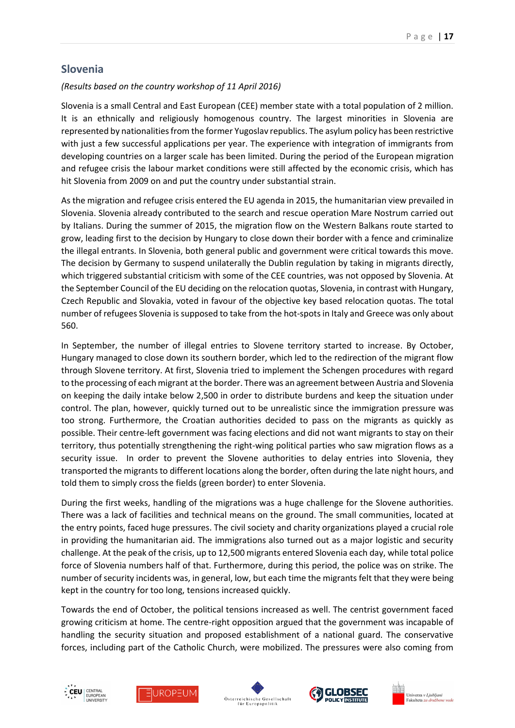### <span id="page-16-0"></span>**Slovenia**

#### *(Results based on the country workshop of 11 April 2016)*

Slovenia is a small Central and East European (CEE) member state with a total population of 2 million. It is an ethnically and religiously homogenous country. The largest minorities in Slovenia are represented by nationalities from the former Yugoslav republics. The asylum policy has been restrictive with just a few successful applications per year. The experience with integration of immigrants from developing countries on a larger scale has been limited. During the period of the European migration and refugee crisis the labour market conditions were still affected by the economic crisis, which has hit Slovenia from 2009 on and put the country under substantial strain.

As the migration and refugee crisis entered the EU agenda in 2015, the humanitarian view prevailed in Slovenia. Slovenia already contributed to the search and rescue operation Mare Nostrum carried out by Italians. During the summer of 2015, the migration flow on the Western Balkans route started to grow, leading first to the decision by Hungary to close down their border with a fence and criminalize the illegal entrants. In Slovenia, both general public and government were critical towards this move. The decision by Germany to suspend unilaterally the Dublin regulation by taking in migrants directly, which triggered substantial criticism with some of the CEE countries, was not opposed by Slovenia. At the September Council of the EU deciding on the relocation quotas, Slovenia, in contrast with Hungary, Czech Republic and Slovakia, voted in favour of the objective key based relocation quotas. The total number of refugees Slovenia is supposed to take from the hot-spots in Italy and Greece was only about 560.

In September, the number of illegal entries to Slovene territory started to increase. By October, Hungary managed to close down its southern border, which led to the redirection of the migrant flow through Slovene territory. At first, Slovenia tried to implement the Schengen procedures with regard to the processing of each migrant at the border. There was an agreement between Austria and Slovenia on keeping the daily intake below 2,500 in order to distribute burdens and keep the situation under control. The plan, however, quickly turned out to be unrealistic since the immigration pressure was too strong. Furthermore, the Croatian authorities decided to pass on the migrants as quickly as possible. Their centre-left government was facing elections and did not want migrants to stay on their territory, thus potentially strengthening the right-wing political parties who saw migration flows as a security issue. In order to prevent the Slovene authorities to delay entries into Slovenia, they transported the migrants to different locations along the border, often during the late night hours, and told them to simply cross the fields (green border) to enter Slovenia.

During the first weeks, handling of the migrations was a huge challenge for the Slovene authorities. There was a lack of facilities and technical means on the ground. The small communities, located at the entry points, faced huge pressures. The civil society and charity organizations played a crucial role in providing the humanitarian aid. The immigrations also turned out as a major logistic and security challenge. At the peak of the crisis, up to 12,500 migrants entered Slovenia each day, while total police force of Slovenia numbers half of that. Furthermore, during this period, the police was on strike. The number of security incidents was, in general, low, but each time the migrants felt that they were being kept in the country for too long, tensions increased quickly.

Towards the end of October, the political tensions increased as well. The centrist government faced growing criticism at home. The centre-right opposition argued that the government was incapable of handling the security situation and proposed establishment of a national guard. The conservative forces, including part of the Catholic Church, were mobilized. The pressures were also coming from









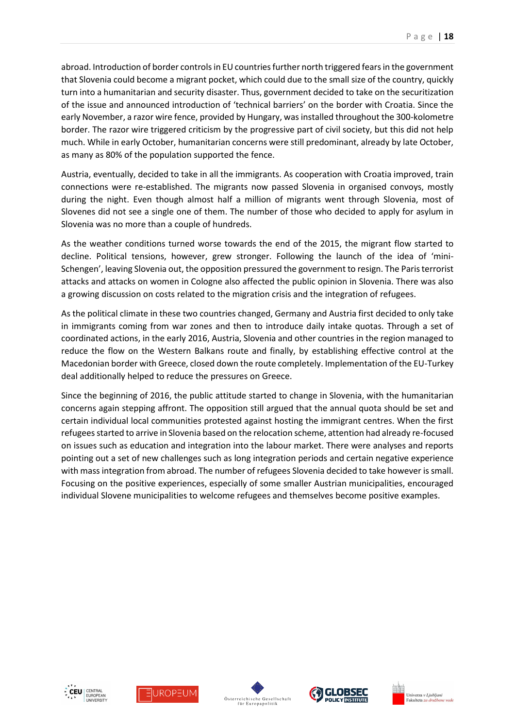abroad. Introduction of border controls in EU countries further north triggered fears in the government that Slovenia could become a migrant pocket, which could due to the small size of the country, quickly turn into a humanitarian and security disaster. Thus, government decided to take on the securitization of the issue and announced introduction of 'technical barriers' on the border with Croatia. Since the early November, a razor wire fence, provided by Hungary, was installed throughout the 300-kolometre border. The razor wire triggered criticism by the progressive part of civil society, but this did not help much. While in early October, humanitarian concerns were still predominant, already by late October, as many as 80% of the population supported the fence.

Austria, eventually, decided to take in all the immigrants. As cooperation with Croatia improved, train connections were re-established. The migrants now passed Slovenia in organised convoys, mostly during the night. Even though almost half a million of migrants went through Slovenia, most of Slovenes did not see a single one of them. The number of those who decided to apply for asylum in Slovenia was no more than a couple of hundreds.

As the weather conditions turned worse towards the end of the 2015, the migrant flow started to decline. Political tensions, however, grew stronger. Following the launch of the idea of 'mini-Schengen', leaving Slovenia out, the opposition pressured the government to resign. The Paris terrorist attacks and attacks on women in Cologne also affected the public opinion in Slovenia. There was also a growing discussion on costs related to the migration crisis and the integration of refugees.

As the political climate in these two countries changed, Germany and Austria first decided to only take in immigrants coming from war zones and then to introduce daily intake quotas. Through a set of coordinated actions, in the early 2016, Austria, Slovenia and other countries in the region managed to reduce the flow on the Western Balkans route and finally, by establishing effective control at the Macedonian border with Greece, closed down the route completely. Implementation of the EU-Turkey deal additionally helped to reduce the pressures on Greece.

Since the beginning of 2016, the public attitude started to change in Slovenia, with the humanitarian concerns again stepping affront. The opposition still argued that the annual quota should be set and certain individual local communities protested against hosting the immigrant centres. When the first refugees started to arrive in Slovenia based on the relocation scheme, attention had already re-focused on issues such as education and integration into the labour market. There were analyses and reports pointing out a set of new challenges such as long integration periods and certain negative experience with mass integration from abroad. The number of refugees Slovenia decided to take however is small. Focusing on the positive experiences, especially of some smaller Austrian municipalities, encouraged individual Slovene municipalities to welcome refugees and themselves become positive examples.









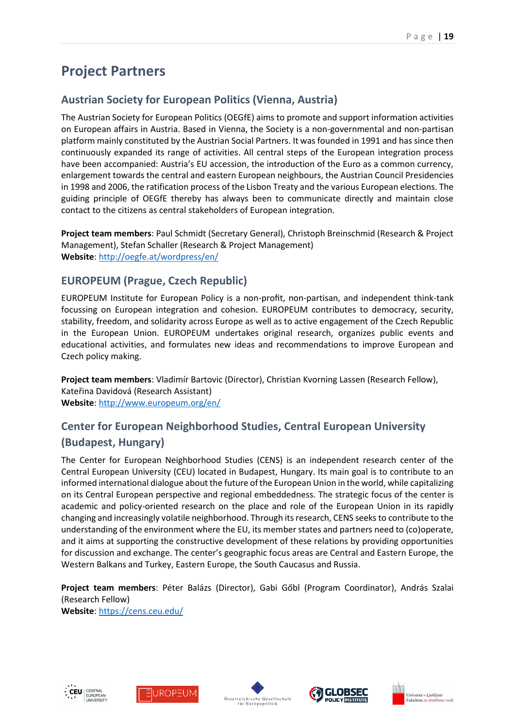## <span id="page-18-0"></span>**Project Partners**

## <span id="page-18-1"></span>**Austrian Society for European Politics (Vienna, Austria)**

The Austrian Society for European Politics (OEGfE) aims to promote and support information activities on European affairs in Austria. Based in Vienna, the Society is a non-governmental and non-partisan platform mainly constituted by the Austrian Social Partners. It was founded in 1991 and has since then continuously expanded its range of activities. All central steps of the European integration process have been accompanied: Austria's EU accession, the introduction of the Euro as a common currency, enlargement towards the central and eastern European neighbours, the Austrian Council Presidencies in 1998 and 2006, the ratification process of the Lisbon Treaty and the various European elections. The guiding principle of OEGfE thereby has always been to communicate directly and maintain close contact to the citizens as central stakeholders of European integration.

**Project team members**: Paul Schmidt (Secretary General), Christoph Breinschmid (Research & Project Management), Stefan Schaller (Research & Project Management) **Website**:<http://oegfe.at/wordpress/en/>

### <span id="page-18-2"></span>**EUROPEUM (Prague, Czech Republic)**

EUROPEUM Institute for European Policy is a non-profit, non-partisan, and independent think-tank focussing on European integration and cohesion. EUROPEUM contributes to democracy, security, stability, freedom, and solidarity across Europe as well as to active engagement of the Czech Republic in the European Union. EUROPEUM undertakes original research, organizes public events and educational activities, and formulates new ideas and recommendations to improve European and Czech policy making.

**Project team members**: Vladimír Bartovic (Director), Christian Kvorning Lassen (Research Fellow), Kateřina Davidová (Research Assistant) **Website**:<http://www.europeum.org/en/>

## <span id="page-18-3"></span>**Center for European Neighborhood Studies, Central European University (Budapest, Hungary)**

The Center for European Neighborhood Studies (CENS) is an independent research center of the Central European University (CEU) located in Budapest, Hungary. Its main goal is to contribute to an informed international dialogue about the future of the European Union in the world, while capitalizing on its Central European perspective and regional embeddedness. The strategic focus of the center is academic and policy-oriented research on the place and role of the European Union in its rapidly changing and increasingly volatile neighborhood. Through its research, CENS seeks to contribute to the understanding of the environment where the EU, its member states and partners need to (co)operate, and it aims at supporting the constructive development of these relations by providing opportunities for discussion and exchange. The center's geographic focus areas are Central and Eastern Europe, the Western Balkans and Turkey, Eastern Europe, the South Caucasus and Russia.

**Project team members**: Péter Balázs (Director), Gabi Gőbl (Program Coordinator), András Szalai (Research Fellow)

**Website**:<https://cens.ceu.edu/>